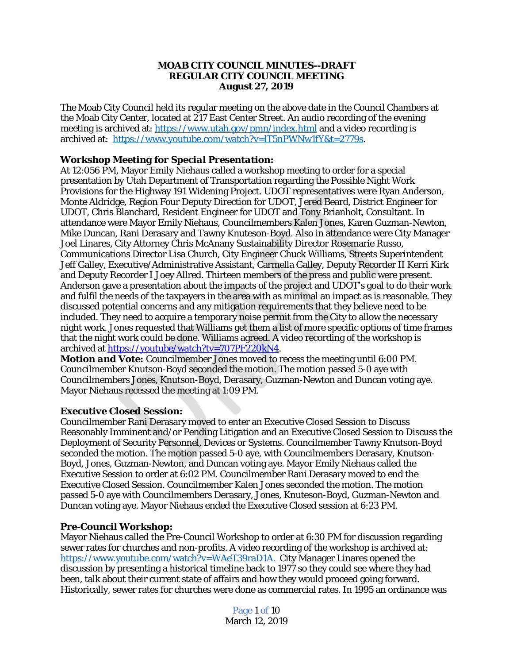# **MOAB CITY COUNCIL MINUTES--DRAFT REGULAR CITY COUNCIL MEETING August 27, 2019**

The Moab City Council held its regular meeting on the above date in the Council Chambers at the Moab City Center, located at 217 East Center Street. An audio recording of the evening meeting is archived at: <https://www.utah.gov/pmn/index.html> and a video recording is archived at: [https://www.youtube.com/watch?v=lT5nPWNw1fY&t=2779s.](https://www.youtube.com/watch?v=IN6YibnVd0k)

# *[Workshop Meeting for Special Presentation:](https://www.youtube.com/watch?v=IN6YibnVd0k)*

[At 12:056 PM, Mayor Emily Niehaus called a workshop meeting to order for a special](https://www.youtube.com/watch?v=IN6YibnVd0k)  [presentation by Utah Department of Transportation](https://www.youtube.com/watch?v=IN6YibnVd0k) [regarding the Possible Night Work](https://www.youtube.com/watch?v=IN6YibnVd0k)  [Provisions for the Highway 191 Widening Project. UDOT representatives were Ryan Anderson,](https://www.youtube.com/watch?v=IN6YibnVd0k)  [Monte Aldridge, Region Four Deputy Direction for UDOT, Jered Beard, District Engineer for](https://www.youtube.com/watch?v=IN6YibnVd0k)  [UDOT, Chris Blanchard, Resident Engineer for UDOT and Tony Brianholt, Consultant. In](https://www.youtube.com/watch?v=IN6YibnVd0k)  [attendance were Mayor Emily Niehaus, Councilmembers Kalen Jones, Karen Guzman-Newton,](https://www.youtube.com/watch?v=IN6YibnVd0k)  [Mike Duncan, Rani Derasary and Tawny Knuteson-Boyd. Also in attendance were City Manager](https://www.youtube.com/watch?v=IN6YibnVd0k)  [Joel Linares, City Attorney Chris McAnany](https://www.youtube.com/watch?v=IN6YibnVd0k) [Sustainability Director Rosemarie Russo,](https://www.youtube.com/watch?v=IN6YibnVd0k)  [Communications Director Lisa Church, City Engineer Chuck Williams, Streets Superintendent](https://www.youtube.com/watch?v=IN6YibnVd0k)  [Jeff Galley, Executive/Administrative Assistant, Carmella Galley, Deputy Recorder II Kerri Kirk](https://www.youtube.com/watch?v=IN6YibnVd0k)  [and Deputy Recorder I Joey Allred. Thirteen members of the press and public were present.](https://www.youtube.com/watch?v=IN6YibnVd0k)  [Anderson gave a presentation about the impacts of the project and UDOT](https://www.youtube.com/watch?v=IN6YibnVd0k)'s goal to do their work [and fulfil the needs of the taxpayers in the area with as minimal an impact as is reasonable. They](https://www.youtube.com/watch?v=IN6YibnVd0k) [discussed potential concerns and any mitigation requirements that they believe need to be](https://www.youtube.com/watch?v=IN6YibnVd0k)  [included. They need to acquire a temporary noise permit from the City to allow the necessary](https://www.youtube.com/watch?v=IN6YibnVd0k)  [night work. Jones requested that Williams get them a list of more specific options of time frames](https://www.youtube.com/watch?v=IN6YibnVd0k) [that the night work could be done. Williams agreed. A video recording of the workshop is](https://www.youtube.com/watch?v=IN6YibnVd0k)  [archived at https://youtube/watch?tv=707PF220kN4.](https://www.youtube.com/watch?v=IN6YibnVd0k)

*[Motion and Vote:](https://www.youtube.com/watch?v=IN6YibnVd0k)* [Councilmember Jones moved to recess the meeting until 6:00 PM.](https://www.youtube.com/watch?v=IN6YibnVd0k)  [Councilmember Knutson-Boyd seconded the motion. The motion passed 5-0 aye with](https://www.youtube.com/watch?v=IN6YibnVd0k)  [Councilmembers Jones, Knutson-Boyd, Derasary, Guzman-Newton and Duncan voting aye.](https://www.youtube.com/watch?v=IN6YibnVd0k) [Mayor Niehaus recessed the meeting at 1:09 PM.](https://www.youtube.com/watch?v=IN6YibnVd0k)

# *[Executive Closed Session:](https://www.youtube.com/watch?v=IN6YibnVd0k)*

[Councilmember Rani Derasary moved to enter an Executive Closed Session to Discuss](https://www.youtube.com/watch?v=IN6YibnVd0k) [Reasonably Imminent and/or Pending Litigation and an Executive Closed Session to Discuss](https://www.youtube.com/watch?v=IN6YibnVd0k) [the](https://www.youtube.com/watch?v=IN6YibnVd0k) [Deployment of Security Personnel, Devices or Systems. Councilmember Tawny Knutson-Boyd](https://www.youtube.com/watch?v=IN6YibnVd0k) [seconded the motion. The motion passed 5-0 aye, with Councilmembers Derasary, Knutson-](https://www.youtube.com/watch?v=IN6YibnVd0k)[Boyd, Jones, Guzman-Newton, and Duncan voting aye. Mayor Emily Niehaus called the](https://www.youtube.com/watch?v=IN6YibnVd0k)  [Executive Session to order at 6:02 PM. Councilmember Rani Derasary moved to end the](https://www.youtube.com/watch?v=IN6YibnVd0k)  [Executive Closed Session. Councilmember Kalen Jones seconded the motion. The motion](https://www.youtube.com/watch?v=IN6YibnVd0k)  [passed 5-0 aye with Councilmembers Derasary, Jones, Knuteson-Boyd, Guzman-Newton and](https://www.youtube.com/watch?v=IN6YibnVd0k)  [Duncan voting aye. Mayor Niehaus ended the Executive Closed session at 6:23 PM.](https://www.youtube.com/watch?v=IN6YibnVd0k)

# *[Pre-Council Workshop:](https://www.youtube.com/watch?v=IN6YibnVd0k)*

[Mayor Niehaus called the Pre-Council Workshop to order at 6:30 PM for discussion regarding](https://www.youtube.com/watch?v=IN6YibnVd0k)  [sewer rates for churches and non-profits. A video recording of the workshop is archived at:](https://www.youtube.com/watch?v=IN6YibnVd0k) [https://www.youtube.com/watch?v=WAeT39raD1A.](https://www.youtube.com/watch?v=WAeT39raD1A) City Manager Linares opened the discussion by presenting a historical timeline back to 1977 so they could see where they had been, talk about their current state of affairs and how they would proceed going forward. Historically, sewer rates for churches were done as commercial rates. In 1995 an ordinance was

> Page 1 of 10 March 12, 2019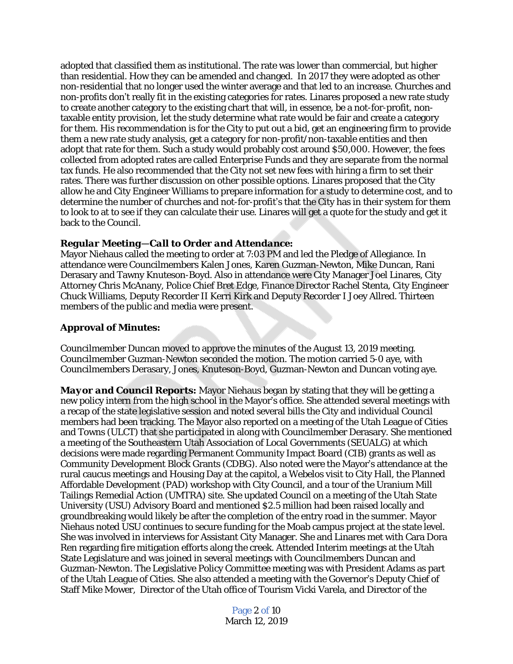adopted that classified them as institutional. The rate was lower than commercial, but higher than residential. How they can be amended and changed. In 2017 they were adopted as other non-residential that no longer used the winter average and that led to an increase. Churches and non-profits don't really fit in the existing categories for rates. Linares proposed a new rate study to create another category to the existing chart that will, in essence, be a not-for-profit, nontaxable entity provision, let the study determine what rate would be fair and create a category for them. His recommendation is for the City to put out a bid, get an engineering firm to provide them a new rate study analysis, get a category for non-profit/non-taxable entities and then adopt that rate for them. Such a study would probably cost around \$50,000. However, the fees collected from adopted rates are called Enterprise Funds and they are separate from the normal tax funds. He also recommended that the City not set new fees with hiring a firm to set their rates. There was further discussion on other possible options. Linares proposed that the City allow he and City Engineer Williams to prepare information for a study to determine cost, and to determine the number of churches and not-for-profit's that the City has in their system for them to look to at to see if they can calculate their use. Linares will get a quote for the study and get it back to the Council.

# *Regular Meeting—Call to Order and Attendance:*

Mayor Niehaus called the meeting to order at 7:03 PM and led the Pledge of Allegiance. In attendance were Councilmembers Kalen Jones, Karen Guzman-Newton, Mike Duncan, Rani Derasary and Tawny Knuteson-Boyd. Also in attendance were City Manager Joel Linares, City Attorney Chris McAnany, Police Chief Bret Edge, Finance Director Rachel Stenta, City Engineer Chuck Williams, Deputy Recorder II Kerri Kirk and Deputy Recorder I Joey Allred. Thirteen members of the public and media were present.

# **Approval of Minutes:**

Councilmember Duncan moved to approve the minutes of the August 13, 2019 meeting. Councilmember Guzman-Newton seconded the motion. The motion carried 5-0 aye, with Councilmembers Derasary, Jones, Knuteson-Boyd, Guzman-Newton and Duncan voting aye.

*Mayor and Council Reports:* Mayor Niehaus began by stating that they will be getting a new policy intern from the high school in the Mayor's office. She attended several meetings with a recap of the state legislative session and noted several bills the City and individual Council members had been tracking. The Mayor also reported on a meeting of the Utah League of Cities and Towns (ULCT) that she participated in along with Councilmember Derasary. She mentioned a meeting of the Southeastern Utah Association of Local Governments (SEUALG) at which decisions were made regarding Permanent Community Impact Board (CIB) grants as well as Community Development Block Grants (CDBG). Also noted were the Mayor's attendance at the rural caucus meetings and Housing Day at the capitol, a Webelos visit to City Hall, the Planned Affordable Development (PAD) workshop with City Council, and a tour of the Uranium Mill Tailings Remedial Action (UMTRA) site. She updated Council on a meeting of the Utah State University (USU) Advisory Board and mentioned \$2.5 million had been raised locally and groundbreaking would likely be after the completion of the entry road in the summer. Mayor Niehaus noted USU continues to secure funding for the Moab campus project at the state level. She was involved in interviews for Assistant City Manager. She and Linares met with Cara Dora Ren regarding fire mitigation efforts along the creek. Attended Interim meetings at the Utah State Legislature and was joined in several meetings with Councilmembers Duncan and Guzman-Newton. The Legislative Policy Committee meeting was with President Adams as part of the Utah League of Cities. She also attended a meeting with the Governor's Deputy Chief of Staff Mike Mower, Director of the Utah office of Tourism Vicki Varela, and Director of the

> Page 2 of 10 March 12, 2019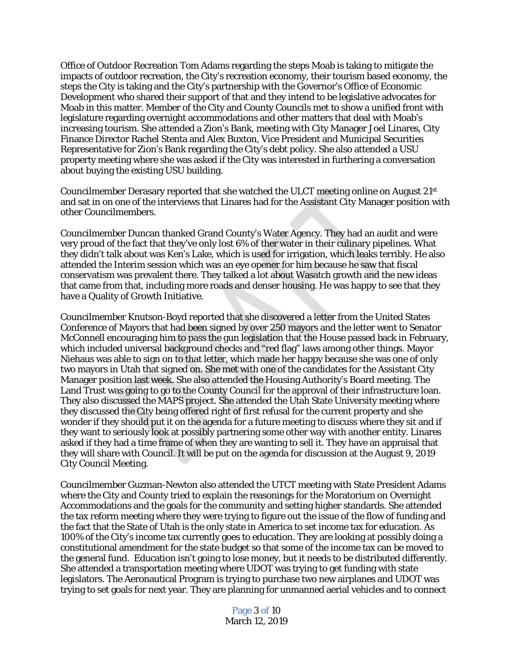Office of Outdoor Recreation Tom Adams regarding the steps Moab is taking to mitigate the impacts of outdoor recreation, the City's recreation economy, their tourism based economy, the steps the City is taking and the City's partnership with the Governor's Office of Economic Development who shared their support of that and they intend to be legislative advocates for Moab in this matter. Member of the City and County Councils met to show a unified front with legislature regarding overnight accommodations and other matters that deal with Moab's increasing tourism. She attended a Zion's Bank, meeting with City Manager Joel Linares, City Finance Director Rachel Stenta and Alex Buxton, Vice President and Municipal Securities Representative for Zion's Bank regarding the City's debt policy. She also attended a USU property meeting where she was asked if the City was interested in furthering a conversation about buying the existing USU building.

Councilmember Derasary reported that she watched the ULCT meeting online on August 21st and sat in on one of the interviews that Linares had for the Assistant City Manager position with other Councilmembers.

Councilmember Duncan thanked Grand County's Water Agency. They had an audit and were very proud of the fact that they've only lost 6% of ther water in their culinary pipelines. What they didn't talk about was Ken's Lake, which is used for irrigation, which leaks terribly. He also attended the Interim session which was an eye opener for him because he saw that fiscal conservatism was prevalent there. They talked a lot about Wasatch growth and the new ideas that came from that, including more roads and denser housing. He was happy to see that they have a Quality of Growth Initiative.

Councilmember Knutson-Boyd reported that she discovered a letter from the United States Conference of Mayors that had been signed by over 250 mayors and the letter went to Senator McConnell encouraging him to pass the gun legislation that the House passed back in February, which included universal background checks and "red flag" laws among other things. Mayor Niehaus was able to sign on to that letter, which made her happy because she was one of only two mayors in Utah that signed on. She met with one of the candidates for the Assistant City Manager position last week. She also attended the Housing Authority's Board meeting. The Land Trust was going to go to the County Council for the approval of their infrastructure loan. They also discussed the MAPS project. She attended the Utah State University meeting where they discussed the City being offered right of first refusal for the current property and she wonder if they should put it on the agenda for a future meeting to discuss where they sit and if they want to seriously look at possibly partnering some other way with another entity. Linares asked if they had a time frame of when they are wanting to sell it. They have an appraisal that they will share with Council. It will be put on the agenda for discussion at the August 9, 2019 City Council Meeting.

Councilmember Guzman-Newton also attended the UTCT meeting with State President Adams where the City and County tried to explain the reasonings for the Moratorium on Overnight Accommodations and the goals for the community and setting higher standards. She attended the tax reform meeting where they were trying to figure out the issue of the flow of funding and the fact that the State of Utah is the only state in America to set income tax for education. As 100% of the City's income tax currently goes to education. They are looking at possibly doing a constitutional amendment for the state budget so that some of the income tax can be moved to the general fund. Education isn't going to lose money, but it needs to be distributed differently. She attended a transportation meeting where UDOT was trying to get funding with state legislators. The Aeronautical Program is trying to purchase two new airplanes and UDOT was trying to set goals for next year. They are planning for unmanned aerial vehicles and to connect

> Page 3 of 10 March 12, 2019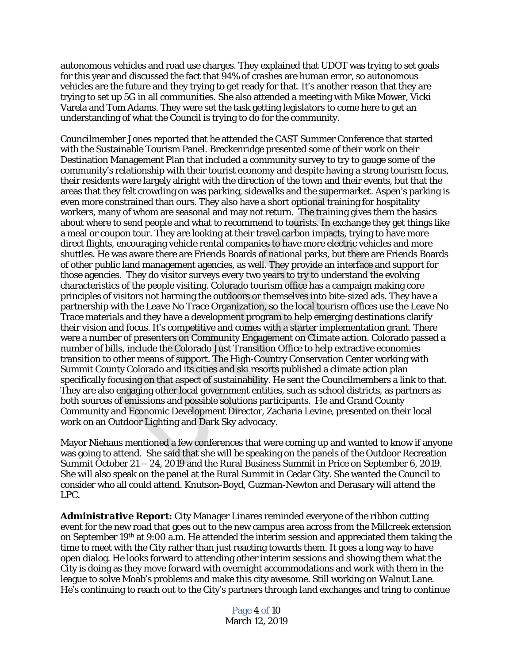autonomous vehicles and road use charges. They explained that UDOT was trying to set goals for this year and discussed the fact that 94% of crashes are human error, so autonomous vehicles are the future and they trying to get ready for that. It's another reason that they are trying to set up 5G in all communities. She also attended a meeting with Mike Mower, Vicki Varela and Tom Adams. They were set the task getting legislators to come here to get an understanding of what the Council is trying to do for the community.

Councilmember Jones reported that he attended the CAST Summer Conference that started with the Sustainable Tourism Panel. Breckenridge presented some of their work on their Destination Management Plan that included a community survey to try to gauge some of the community's relationship with their tourist economy and despite having a strong tourism focus, their residents were largely alright with the direction of the town and their events, but that the areas that they felt crowding on was parking, sidewalks and the supermarket. Aspen's parking is even more constrained than ours. They also have a short optional training for hospitality workers, many of whom are seasonal and may not return. The training gives them the basics about where to send people and what to recommend to tourists. In exchange they get things like a meal or coupon tour. They are looking at their travel carbon impacts, trying to have more direct flights, encouraging vehicle rental companies to have more electric vehicles and more shuttles. He was aware there are Friends Boards of national parks, but there are Friends Boards of other public land management agencies, as well. They provide an interface and support for those agencies. They do visitor surveys every two years to try to understand the evolving characteristics of the people visiting. Colorado tourism office has a campaign making core principles of visitors not harming the outdoors or themselves into bite-sized ads. They have a partnership with the Leave No Trace Organization, so the local tourism offices use the Leave No Trace materials and they have a development program to help emerging destinations clarify their vision and focus. It's competitive and comes with a starter implementation grant. There were a number of presenters on Community Engagement on Climate action. Colorado passed a number of bills, include the Colorado Just Transition Office to help extractive economies transition to other means of support. The High-Country Conservation Center working with Summit County Colorado and its cities and ski resorts published a climate action plan specifically focusing on that aspect of sustainability. He sent the Councilmembers a link to that. They are also engaging other local government entities, such as school districts, as partners as both sources of emissions and possible solutions participants. He and Grand County Community and Economic Development Director, Zacharia Levine, presented on their local work on an Outdoor Lighting and Dark Sky advocacy.

Mayor Niehaus mentioned a few conferences that were coming up and wanted to know if anyone was going to attend. She said that she will be speaking on the panels of the Outdoor Recreation Summit October 21 – 24, 2019 and the Rural Business Summit in Price on September 6, 2019. She will also speak on the panel at the Rural Summit in Cedar City. She wanted the Council to consider who all could attend. Knutson-Boyd, Guzman-Newton and Derasary will attend the LPC.

*Administrative Report:* City Manager Linares reminded everyone of the ribbon cutting event for the new road that goes out to the new campus area across from the Millcreek extension on September 19th at 9:00 a.m. He attended the interim session and appreciated them taking the time to meet with the City rather than just reacting towards them. It goes a long way to have open dialog. He looks forward to attending other interim sessions and showing them what the City is doing as they move forward with overnight accommodations and work with them in the league to solve Moab's problems and make this city awesome. Still working on Walnut Lane. He's continuing to reach out to the City's partners through land exchanges and tring to continue

> Page 4 of 10 March 12, 2019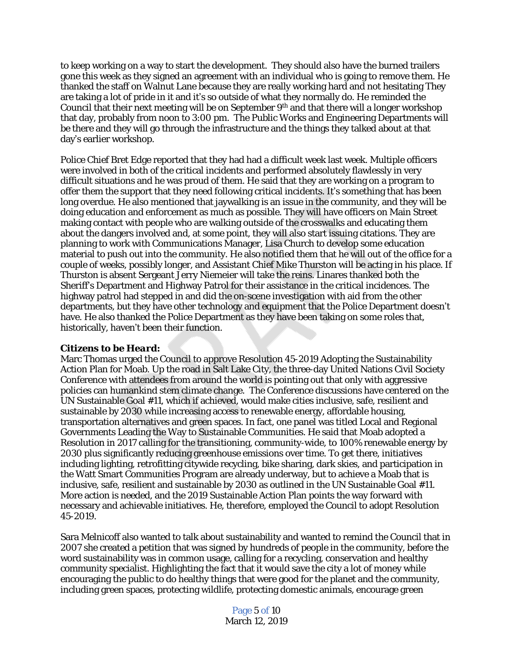to keep working on a way to start the development. They should also have the burned trailers gone this week as they signed an agreement with an individual who is going to remove them. He thanked the staff on Walnut Lane because they are really working hard and not hesitating They are taking a lot of pride in it and it's so outside of what they normally do. He reminded the Council that their next meeting will be on September  $9<sup>th</sup>$  and that there will a longer workshop that day, probably from noon to 3:00 pm. The Public Works and Engineering Departments will be there and they will go through the infrastructure and the things they talked about at that day's earlier workshop.

Police Chief Bret Edge reported that they had had a difficult week last week. Multiple officers were involved in both of the critical incidents and performed absolutely flawlessly in very difficult situations and he was proud of them. He said that they are working on a program to offer them the support that they need following critical incidents. It's something that has been long overdue. He also mentioned that jaywalking is an issue in the community, and they will be doing education and enforcement as much as possible. They will have officers on Main Street making contact with people who are walking outside of the crosswalks and educating them about the dangers involved and, at some point, they will also start issuing citations. They are planning to work with Communications Manager, Lisa Church to develop some education material to push out into the community. He also notified them that he will out of the office for a couple of weeks, possibly longer, and Assistant Chief Mike Thurston will be acting in his place. If Thurston is absent Sergeant Jerry Niemeier will take the reins. Linares thanked both the Sheriff's Department and Highway Patrol for their assistance in the critical incidences. The highway patrol had stepped in and did the on-scene investigation with aid from the other departments, but they have other technology and equipment that the Police Department doesn't have. He also thanked the Police Department as they have been taking on some roles that, historically, haven't been their function.

#### *Citizens to be Heard:*

Marc Thomas urged the Council to approve Resolution 45-2019 Adopting the Sustainability Action Plan for Moab. Up the road in Salt Lake City, the three-day United Nations Civil Society Conference with attendees from around the world is pointing out that only with aggressive policies can humankind stem climate change. The Conference discussions have centered on the UN Sustainable Goal #11, which if achieved, would make cities inclusive, safe, resilient and sustainable by 2030 while increasing access to renewable energy, affordable housing, transportation alternatives and green spaces. In fact, one panel was titled Local and Regional Governments Leading the Way to Sustainable Communities. He said that Moab adopted a Resolution in 2017 calling for the transitioning, community-wide, to 100% renewable energy by 2030 plus significantly reducing greenhouse emissions over time. To get there, initiatives including lighting, retrofitting citywide recycling, bike sharing, dark skies, and participation in the Watt Smart Communities Program are already underway, but to achieve a Moab that is inclusive, safe, resilient and sustainable by 2030 as outlined in the UN Sustainable Goal #11. More action is needed, and the 2019 Sustainable Action Plan points the way forward with necessary and achievable initiatives. He, therefore, employed the Council to adopt Resolution 45-2019.

Sara Melnicoff also wanted to talk about sustainability and wanted to remind the Council that in 2007 she created a petition that was signed by hundreds of people in the community, before the word sustainability was in common usage, calling for a recycling, conservation and healthy community specialist. Highlighting the fact that it would save the city a lot of money while encouraging the public to do healthy things that were good for the planet and the community, including green spaces, protecting wildlife, protecting domestic animals, encourage green

> Page 5 of 10 March 12, 2019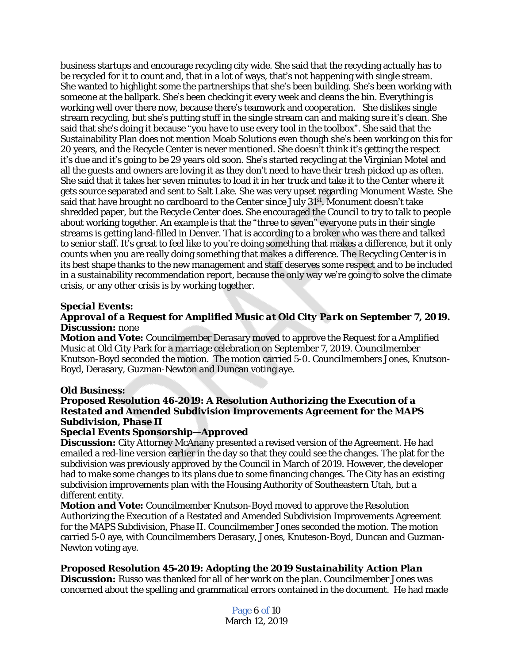business startups and encourage recycling city wide. She said that the recycling actually has to be recycled for it to count and, that in a lot of ways, that's not happening with single stream. She wanted to highlight some the partnerships that she's been building. She's been working with someone at the ballpark. She's been checking it every week and cleans the bin. Everything is working well over there now, because there's teamwork and cooperation. She dislikes single stream recycling, but she's putting stuff in the single stream can and making sure it's clean. She said that she's doing it because "you have to use every tool in the toolbox". She said that the Sustainability Plan does not mention Moab Solutions even though she's been working on this for 20 years, and the Recycle Center is never mentioned. She doesn't think it's getting the respect it's due and it's going to be 29 years old soon. She's started recycling at the Virginian Motel and all the guests and owners are loving it as they don't need to have their trash picked up as often. She said that it takes her seven minutes to load it in her truck and take it to the Center where it gets source separated and sent to Salt Lake. She was very upset regarding Monument Waste. She said that have brought no cardboard to the Center since July 31<sup>st</sup>. Monument doesn't take shredded paper, but the Recycle Center does. She encouraged the Council to try to talk to people about working together. An example is that the "three to seven" everyone puts in their single streams is getting land-filled in Denver. That is according to a broker who was there and talked to senior staff. It's great to feel like to you're doing something that makes a difference, but it only counts when you are really doing something that makes a difference. The Recycling Center is in its best shape thanks to the new management and staff deserves some respect and to be included in a sustainability recommendation report, because the only way we're going to solve the climate crisis, or any other crisis is by working together.

## *Special Events:*

# *Approval of a Request for Amplified Music at Old City Park on September 7, 2019. Discussion:* none

*Motion and Vote:* Councilmember Derasary moved to approve the Request for a Amplified Music at Old City Park for a marriage celebration on September 7, 2019. Councilmember Knutson-Boyd seconded the motion. The motion carried 5-0. Councilmembers Jones, Knutson-Boyd, Derasary, Guzman-Newton and Duncan voting aye.

#### *Old Business:*

# *Proposed Resolution 46-2019: A Resolution Authorizing the Execution of a Restated and Amended Subdivision Improvements Agreement for the MAPS Subdivision, Phase II*

# *Special Events Sponsorship—Approved*

**Discussion:** City Attorney McAnany presented a revised version of the Agreement. He had emailed a red-line version earlier in the day so that they could see the changes. The plat for the subdivision was previously approved by the Council in March of 2019. However, the developer had to make some changes to its plans due to some financing changes. The City has an existing subdivision improvements plan with the Housing Authority of Southeastern Utah, but a different entity.

*Motion and Vote:* Councilmember Knutson-Boyd moved to approve the Resolution Authorizing the Execution of a Restated and Amended Subdivision Improvements Agreement for the MAPS Subdivision, Phase II. Councilmember Jones seconded the motion. The motion carried 5-0 aye, with Councilmembers Derasary, Jones, Knuteson-Boyd, Duncan and Guzman-Newton voting aye.

# *Proposed Resolution 45-2019: Adopting the 2019 Sustainability Action Plan*

**Discussion:** Russo was thanked for all of her work on the plan. Councilmember Jones was concerned about the spelling and grammatical errors contained in the document. He had made

> Page 6 of 10 March 12, 2019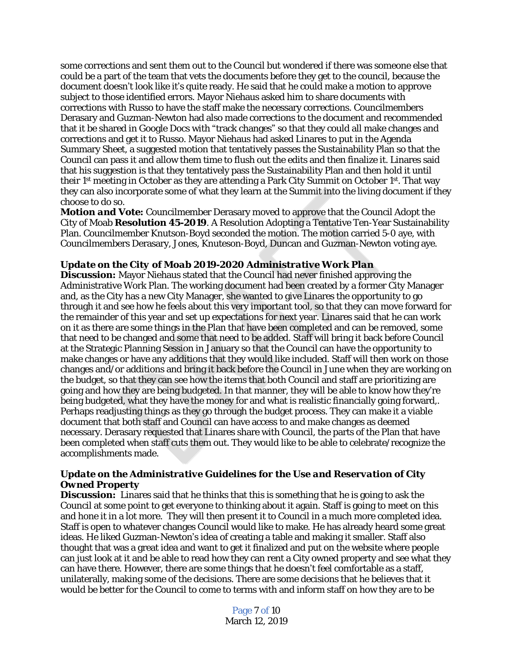some corrections and sent them out to the Council but wondered if there was someone else that could be a part of the team that vets the documents before they get to the council, because the document doesn't look like it's quite ready. He said that he could make a motion to approve subject to those identified errors. Mayor Niehaus asked him to share documents with corrections with Russo to have the staff make the necessary corrections. Councilmembers Derasary and Guzman-Newton had also made corrections to the document and recommended that it be shared in Google Docs with "track changes" so that they could all make changes and corrections and get it to Russo. Mayor Niehaus had asked Linares to put in the Agenda Summary Sheet, a suggested motion that tentatively passes the Sustainability Plan so that the Council can pass it and allow them time to flush out the edits and then finalize it. Linares said that his suggestion is that they tentatively pass the Sustainability Plan and then hold it until their 1<sup>st</sup> meeting in October as they are attending a Park City Summit on October 1<sup>st</sup>. That way they can also incorporate some of what they learn at the Summit into the living document if they choose to do so.

*Motion and Vote:* Councilmember Derasary moved to approve that the Council Adopt the City of Moab **Resolution 45-2019**. A Resolution Adopting a Tentative Ten-Year Sustainability Plan. Councilmember Knutson-Boyd seconded the motion. The motion carried 5-0 aye, with Councilmembers Derasary, Jones, Knuteson-Boyd, Duncan and Guzman-Newton voting aye.

#### *Update on the City of Moab 2019-2020 Administrative Work Plan*

**Discussion:** Mayor Niehaus stated that the Council had never finished approving the Administrative Work Plan. The working document had been created by a former City Manager and, as the City has a new City Manager, she wanted to give Linares the opportunity to go through it and see how he feels about this very important tool, so that they can move forward for the remainder of this year and set up expectations for next year. Linares said that he can work on it as there are some things in the Plan that have been completed and can be removed, some that need to be changed and some that need to be added. Staff will bring it back before Council at the Strategic Planning Session in January so that the Council can have the opportunity to make changes or have any additions that they would like included. Staff will then work on those changes and/or additions and bring it back before the Council in June when they are working on the budget, so that they can see how the items that both Council and staff are prioritizing are going and how they are being budgeted. In that manner, they will be able to know how they're being budgeted, what they have the money for and what is realistic financially going forward,. Perhaps readjusting things as they go through the budget process. They can make it a viable document that both staff and Council can have access to and make changes as deemed necessary. Derasary requested that Linares share with Council, the parts of the Plan that have been completed when staff cuts them out. They would like to be able to celebrate/recognize the accomplishments made.

## *Update on the Administrative Guidelines for the Use and Reservation of City Owned Property*

**Discussion:** Linares said that he thinks that this is something that he is going to ask the Council at some point to get everyone to thinking about it again. Staff is going to meet on this and hone it in a lot more. They will then present it to Council in a much more completed idea. Staff is open to whatever changes Council would like to make. He has already heard some great ideas. He liked Guzman-Newton's idea of creating a table and making it smaller. Staff also thought that was a great idea and want to get it finalized and put on the website where people can just look at it and be able to read how they can rent a City owned property and see what they can have there. However, there are some things that he doesn't feel comfortable as a staff, unilaterally, making some of the decisions. There are some decisions that he believes that it would be better for the Council to come to terms with and inform staff on how they are to be

> Page 7 of 10 March 12, 2019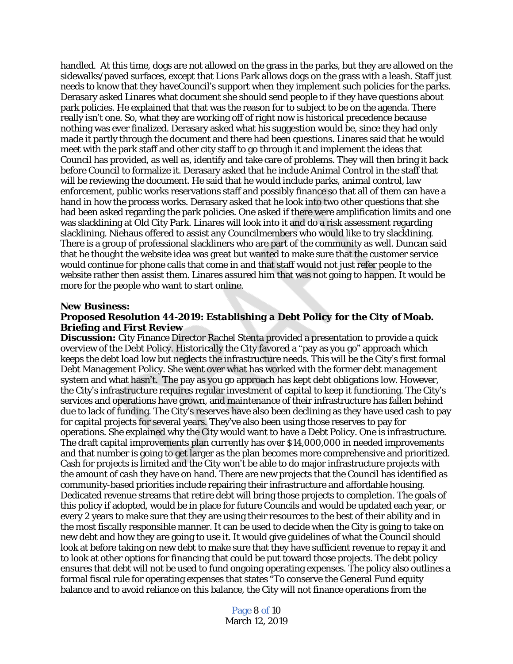handled. At this time, dogs are not allowed on the grass in the parks, but they are allowed on the sidewalks/paved surfaces, except that Lions Park allows dogs on the grass with a leash. Staff just needs to know that they haveCouncil's support when they implement such policies for the parks. Derasary asked Linares what document she should send people to if they have questions about park policies. He explained that that was the reason for to subject to be on the agenda. There really isn't one. So, what they are working off of right now is historical precedence because nothing was ever finalized. Derasary asked what his suggestion would be, since they had only made it partly through the document and there had been questions. Linares said that he would meet with the park staff and other city staff to go through it and implement the ideas that Council has provided, as well as, identify and take care of problems. They will then bring it back before Council to formalize it. Derasary asked that he include Animal Control in the staff that will be reviewing the document. He said that he would include parks, animal control, law enforcement, public works reservations staff and possibly finance so that all of them can have a hand in how the process works. Derasary asked that he look into two other questions that she had been asked regarding the park policies. One asked if there were amplification limits and one was slacklining at Old City Park. Linares will look into it and do a risk assessment regarding slacklining. Niehaus offered to assist any Councilmembers who would like to try slacklining. There is a group of professional slackliners who are part of the community as well. Duncan said that he thought the website idea was great but wanted to make sure that the customer service would continue for phone calls that come in and that staff would not just refer people to the website rather then assist them. Linares assured him that was not going to happen. It would be more for the people who want to start online.

#### *New Business:*

#### *Proposed Resolution 44-2019: Establishing a Debt Policy for the City of Moab. Briefing and First Review*

**Discussion:** City Finance Director Rachel Stenta provided a presentation to provide a quick overview of the Debt Policy. Historically the City favored a "pay as you go" approach which keeps the debt load low but neglects the infrastructure needs. This will be the City's first formal Debt Management Policy. She went over what has worked with the former debt management system and what hasn't. The pay as you go approach has kept debt obligations low. However, the City's infrastructure requires regular investment of capital to keep it functioning. The City's services and operations have grown, and maintenance of their infrastructure has fallen behind due to lack of funding. The City's reserves have also been declining as they have used cash to pay for capital projects for several years. They've also been using those reserves to pay for operations. She explained why the City would want to have a Debt Policy. One is infrastructure. The draft capital improvements plan currently has over \$14,000,000 in needed improvements and that number is going to get larger as the plan becomes more comprehensive and prioritized. Cash for projects is limited and the City won't be able to do major infrastructure projects with the amount of cash they have on hand. There are new projects that the Council has identified as community-based priorities include repairing their infrastructure and affordable housing. Dedicated revenue streams that retire debt will bring those projects to completion. The goals of this policy if adopted, would be in place for future Councils and would be updated each year, or every 2 years to make sure that they are using their resources to the best of their ability and in the most fiscally responsible manner. It can be used to decide when the City is going to take on new debt and how they are going to use it. It would give guidelines of what the Council should look at before taking on new debt to make sure that they have sufficient revenue to repay it and to look at other options for financing that could be put toward those projects. The debt policy ensures that debt will not be used to fund ongoing operating expenses. The policy also outlines a formal fiscal rule for operating expenses that states "To conserve the General Fund equity balance and to avoid reliance on this balance, the City will not finance operations from the

> Page 8 of 10 March 12, 2019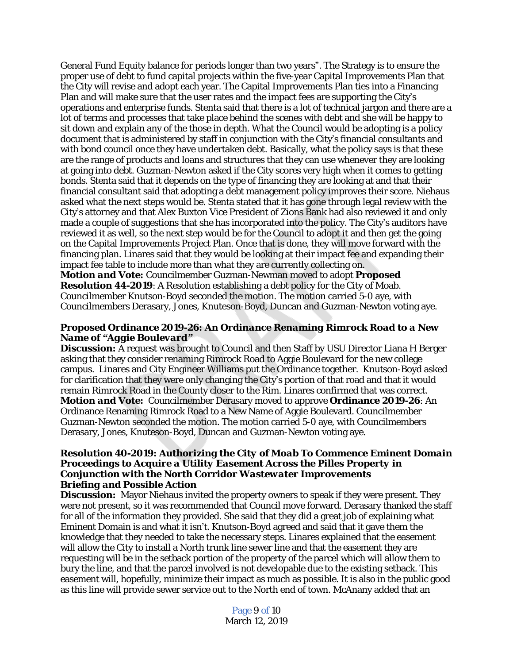General Fund Equity balance for periods longer than two years". The Strategy is to ensure the proper use of debt to fund capital projects within the five-year Capital Improvements Plan that the City will revise and adopt each year. The Capital Improvements Plan ties into a Financing Plan and will make sure that the user rates and the impact fees are supporting the City's operations and enterprise funds. Stenta said that there is a lot of technical jargon and there are a lot of terms and processes that take place behind the scenes with debt and she will be happy to sit down and explain any of the those in depth. What the Council would be adopting is a policy document that is administered by staff in conjunction with the City's financial consultants and with bond council once they have undertaken debt. Basically, what the policy says is that these are the range of products and loans and structures that they can use whenever they are looking at going into debt. Guzman-Newton asked if the City scores very high when it comes to getting bonds. Stenta said that it depends on the type of financing they are looking at and that their financial consultant said that adopting a debt management policy improves their score. Niehaus asked what the next steps would be. Stenta stated that it has gone through legal review with the City's attorney and that Alex Buxton Vice President of Zions Bank had also reviewed it and only made a couple of suggestions that she has incorporated into the policy. The City's auditors have reviewed it as well, so the next step would be for the Council to adopt it and then get the going on the Capital Improvements Project Plan. Once that is done, they will move forward with the financing plan. Linares said that they would be looking at their impact fee and expanding their impact fee table to include more than what they are currently collecting on.

*Motion and Vote:* Councilmember Guzman-Newman moved to adopt **Proposed Resolution 44-2019**: A Resolution establishing a debt policy for the City of Moab. Councilmember Knutson-Boyd seconded the motion. The motion carried 5-0 aye, with Councilmembers Derasary, Jones, Knuteson-Boyd, Duncan and Guzman-Newton voting aye.

# *Proposed Ordinance 2019-26: An Ordinance Renaming Rimrock Road to a New Name of "Aggie Boulevard"*

**Discussion:** A request was brought to Council and then Staff by USU Director Liana H Berger asking that they consider renaming Rimrock Road to Aggie Boulevard for the new college campus. Linares and City Engineer Williams put the Ordinance together. Knutson-Boyd asked for clarification that they were only changing the City's portion of that road and that it would remain Rimrock Road in the County closer to the Rim. Linares confirmed that was correct. *Motion and Vote:* Councilmember Derasary moved to approve **Ordinance 2019-26**: An Ordinance Renaming Rimrock Road to a New Name of Aggie Boulevard. Councilmember Guzman-Newton seconded the motion. The motion carried 5-0 aye, with Councilmembers Derasary, Jones, Knuteson-Boyd, Duncan and Guzman-Newton voting aye.

#### *Resolution 40-2019: Authorizing the City of Moab To Commence Eminent Domain Proceedings to Acquire a Utility Easement Across the Pilles Property in Conjunction with the North Corridor Wastewater Improvements Briefing and Possible Action*

**Discussion:** Mayor Niehaus invited the property owners to speak if they were present. They were not present, so it was recommended that Council move forward. Derasary thanked the staff for all of the information they provided. She said that they did a great job of explaining what Eminent Domain is and what it isn't. Knutson-Boyd agreed and said that it gave them the knowledge that they needed to take the necessary steps. Linares explained that the easement will allow the City to install a North trunk line sewer line and that the easement they are requesting will be in the setback portion of the property of the parcel which will allow them to bury the line, and that the parcel involved is not developable due to the existing setback. This easement will, hopefully, minimize their impact as much as possible. It is also in the public good as this line will provide sewer service out to the North end of town. McAnany added that an

> Page 9 of 10 March 12, 2019